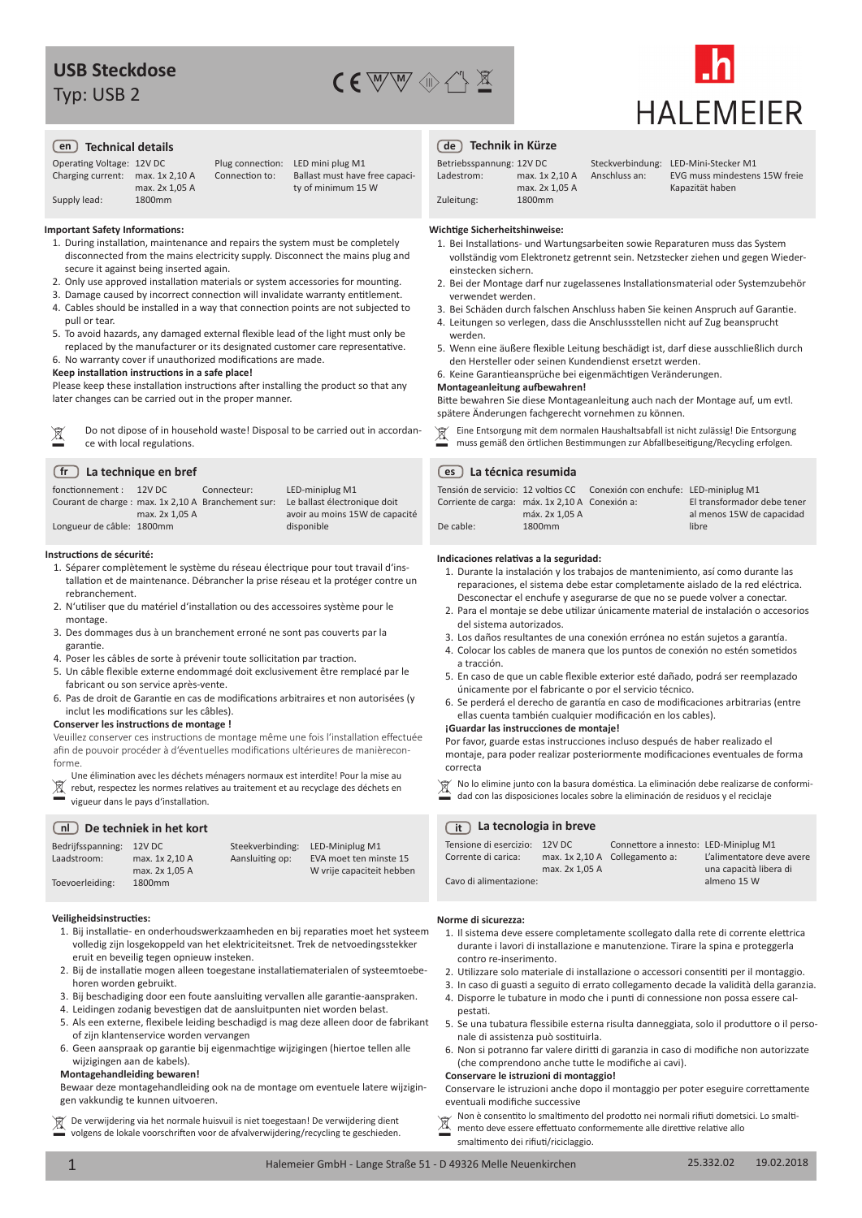Typ: USB 2





#### **en Technical details de Technik in Kürze**

Operating Voltage: 12V DC Charging current: max. 1x 2,10 A Supply lead: max. 2x 1,05 A 1800mm

Connection to:

Plug connection: LED mini plug M1 Ballast must have free capacity of minimum 15 W

#### **Important Safety Informations:**

- 1. During installation, maintenance and repairs the system must be completely disconnected from the mains electricity supply. Disconnect the mains plug and secure it against being inserted again.
- 2. Only use approved installation materials or system accessories for mounting.
- 3. Damage caused by incorrect connection will invalidate warranty entitlement.
- 4. Cables should be installed in a way that connection points are not subjected to pull or tear.
- 5. To avoid hazards, any damaged external flexible lead of the light must only be replaced by the manufacturer or its designated customer care representative.

6. No warranty cover if unauthorized modifications are made.

#### **Keep installation instructions in a safe place!**

Please keep these installation instructions after installing the product so that any later changes can be carried out in the proper manner.

|  | Do not dipose of in household waste! Disposal to be carried out in accordan- | Eine Entsorgung mit dem normalen Haushaltsabfall ist nicht zulässig! Die Entsorgung |
|--|------------------------------------------------------------------------------|-------------------------------------------------------------------------------------|
|  | ce with local regulations.                                                   | muss gemäß den örtlichen Bestimmungen zur Abfallbeseitigung/Recycling erfolgen.     |

#### **La technique en bref fr**

| fonctionnement :                                    | 12V DC         | Connecteur: | LED-miniplug M1                |
|-----------------------------------------------------|----------------|-------------|--------------------------------|
| Courant de charge : max. 1x 2,10 A Branchement sur: |                |             | Le ballast électronique doit   |
|                                                     | max. 2x 1.05 A |             | avoir au moins 15W de capacité |
| Longueur de câble: 1800mm                           |                |             | disponible                     |

#### **Instructions de sécurité:**

- 1. Séparer complètement le système du réseau électrique pour tout travail d'installation et de maintenance. Débrancher la prise réseau et la protéger contre un rebranchement.
- 2. N'utiliser que du matériel d'installation ou des accessoires système pour le montage.
- 3. Des dommages dus à un branchement erroné ne sont pas couverts par la garantie.
- 4. Poser les câbles de sorte à prévenir toute sollicitation par traction.
- 5. Un câble flexible externe endommagé doit exclusivement être remplacé par le fabricant ou son service après-vente.
- 6. Pas de droit de Garantie en cas de modifications arbitraires et non autorisées (y inclut les modifications sur les câbles).

#### **Conserver les instructions de montage !**

Veuillez conserver ces instructions de montage même une fois l'installation effectuée afin de pouvoir procéder à d'éventuelles modifications ultérieures de manièreconforme.

 $\boxtimes$ Une élimination avec les déchets ménagers normaux est interdite! Pour la mise au rebut, respectez les normes relatives au traitement et au recyclage des déchets en vigueur dans le pays d'installation.

#### **nl De techniek in het kort**

| Bedrijfsspanning: | $12V$ DC       | Steekverbinding: | LED-Miniplug M1           |
|-------------------|----------------|------------------|---------------------------|
| Laadstroom:       | max. 1x 2.10 A | Aansluiting op:  | EVA moet ten minste 15    |
|                   | max. 2x 1.05 A |                  | W vrije capaciteit hebben |
| Toevoerleiding:   | 1800mm         |                  |                           |

### **Veiligheidsinstructies:**

- 1. Bij installatie- en onderhoudswerkzaamheden en bij reparaties moet het systeem volledig zijn losgekoppeld van het elektriciteitsnet. Trek de netvoedingsstekker eruit en beveilig tegen opnieuw insteken.
- 2. Bij de installatie mogen alleen toegestane installatiematerialen of systeemtoebehoren worden gebruikt.
- 3. Bij beschadiging door een foute aansluiting vervallen alle garantie-aanspraken.
- 4. Leidingen zodanig bevestigen dat de aansluitpunten niet worden belast.
- 5. Als een externe, flexibele leiding beschadigd is mag deze alleen door de fabrikant of zijn klantenservice worden vervangen
- 6. Geen aanspraak op garantie bij eigenmachtige wijzigingen (hiertoe tellen alle wijzigingen aan de kabels).

#### **Montagehandleiding bewaren!**

Bewaar deze montagehandleiding ook na de montage om eventuele latere wijzigingen vakkundig te kunnen uitvoeren.

 $\boxtimes$ De verwijdering via het normale huisvuil is niet toegestaan! De verwijdering dient De verwijdering via het normale huisvuil is niet toegestaan! De verwijdering dient  $\mathbb{R}$ <br>volgens de lokale voorschriften voor de afvalverwijdering/recycling te geschieden.

| Betriebsspannung: 12V DC |                |
|--------------------------|----------------|
| Ladestrom:               | max. 1x 2.10 A |
|                          | max. 2x 1.05 A |
| Zuleitung:               | 1800mm         |

Anschluss an:

Steckverbindung: LED-Mini-Stecker M1 EVG muss mindestens 15W freie Kapazität haben

#### **Wichtige Sicherheitshinweise:**

- 1. Bei Installations- und Wartungsarbeiten sowie Reparaturen muss das System vollständig vom Elektronetz getrennt sein. Netzstecker ziehen und gegen Wiedereinstecken sichern.
- 2. Bei der Montage darf nur zugelassenes Installationsmaterial oder Systemzubehör verwendet werden.
- 3. Bei Schäden durch falschen Anschluss haben Sie keinen Anspruch auf Garantie.
- 4. Leitungen so verlegen, dass die Anschlussstellen nicht auf Zug beansprucht werden.
- 5. Wenn eine äußere flexible Leitung beschädigt ist, darf diese ausschließlich durch den Hersteller oder seinen Kundendienst ersetzt werden.
- 6. Keine Garantieansprüche bei eigenmächtigen Veränderungen.

#### **Montageanleitung aufbewahren!**

Bitte bewahren Sie diese Montageanleitung auch nach der Montage auf, um evtl. spätere Änderungen fachgerecht vornehmen zu können.

|  | Eine Entsorgung mit dem normalen Haushaltsabfall ist nicht zulässig! Die Entsorgung |
|--|-------------------------------------------------------------------------------------|
|  | muss gemäß den örtlichen Bestimmungen zur Abfallbeseitigung/Recycling erfolgen.     |

#### **La técnica resumida es**

| Tensión de servicio: 12 voltios CC             |                    | Conexión con enchufe: LED-miniplug M1 |                             |
|------------------------------------------------|--------------------|---------------------------------------|-----------------------------|
| Corriente de carga: máx. 1x 2,10 A Conexión a: |                    |                                       | El transformador debe tener |
|                                                | máx. 2x 1.05 A     |                                       | al menos 15W de capacidad   |
| De cable:                                      | 1800 <sub>mm</sub> |                                       | libre                       |

#### **Indicaciones relativas a la seguridad:**

- 1. Durante la instalación y los trabajos de mantenimiento, así como durante las reparaciones, el sistema debe estar completamente aislado de la red eléctrica. Desconectar el enchufe y asegurarse de que no se puede volver a conectar.
- 2. Para el montaje se debe utilizar únicamente material de instalación o accesorios del sistema autorizados.
- 3. Los daños resultantes de una conexión errónea no están sujetos a garantía.
- 4. Colocar los cables de manera que los puntos de conexión no estén sometidos a tracción.
- 5. En caso de que un cable flexible exterior esté dañado, podrá ser reemplazado únicamente por el fabricante o por el servicio técnico.
- 6. Se perderá el derecho de garantía en caso de modificaciones arbitrarias (entre ellas cuenta también cualquier modificación en los cables).

#### **¡Guardar las instrucciones de montaje!**

Por favor, guarde estas instrucciones incluso después de haber realizado el montaje, para poder realizar posteriormente modificaciones eventuales de forma correcta

 $\mathbb K$  No lo elimine junto con la basura doméstica. La eliminación debe realizarse de conformidad con las disposiciones locales sobre la eliminación de residuos y el reciclaje

#### **La tecnologia in breve it**

| Tensione di esercizio: 12V DC | max. 2x 1.05 A | Connettore a innesto: LED-Miniplug M1 | L'alimentatore deve avere |
|-------------------------------|----------------|---------------------------------------|---------------------------|
| Corrente di carica:           |                | max. 1x 2,10 A Collegamento a:        | una capacità libera di    |
| Cavo di alimentazione:        |                |                                       | almeno 15 W               |

#### **Norme di sicurezza:**

- 1. Il sistema deve essere completamente scollegato dalla rete di corrente elettrica durante i lavori di installazione e manutenzione. Tirare la spina e proteggerla contro re-inserimento.
- 2. Utilizzare solo materiale di installazione o accessori consentiti per il montaggio.
- 3. In caso di guasti a seguito di errato collegamento decade la validità della garanzia.
- 4. Disporre le tubature in modo che i punti di connessione non possa essere calpestati.
- 5. Se una tubatura flessibile esterna risulta danneggiata, solo il produttore o il personale di assistenza può sostituirla.
- 6. Non si potranno far valere diritti di garanzia in caso di modifiche non autorizzate (che comprendono anche tutte le modifiche ai cavi).

#### **Conservare le istruzioni di montaggio!**

Conservare le istruzioni anche dopo il montaggio per poter eseguire correttamente eventuali modifiche successive

Non è consentito lo smaltimento del prodotto nei normali rifiuti dometsici. Lo smaltimento deve essere effettuato conformemente alle direttive relative allo smaltimento dei rifiuti/riciclaggio.